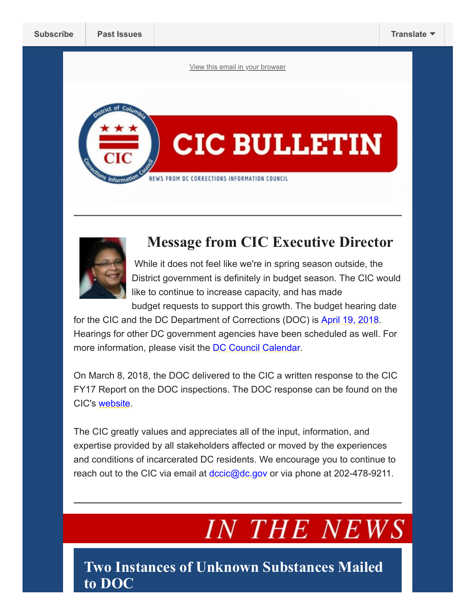[View this email in your browser](https://mailchi.mp/52d89a6a8bc5/unknown-substances-mailed-to-doc-recent-deaths?e=a06057d53c)





# Message from CIC Executive Director

While it does not feel like we're in spring season outside, the District government is definitely in budget season. The CIC would like to continue to increase capacity, and has made

budget requests to support this growth. The budget hearing date for the CIC and the DC Department of Corrections (DOC) is [April 19, 2018.](http://dccouncil.us/events/budget-oversight-hearing-committee-on-the-judicicary-public-safety) Hearings for other DC government agencies have been scheduled as well. For more information, please visit the [DC Council Calendar.](http://dccouncil.us/calendar)

On March 8, 2018, the DOC delivered to the CIC a written response to the CIC FY17 Report on the DOC inspections. The DOC response can be found on the CIC's [website.](https://cic.dc.gov/node/1299486)

The CIC greatly values and appreciates all of the input, information, and expertise provided by all stakeholders affected or moved by the experiences and conditions of incarcerated DC residents. We encourage you to continue to reach out to the CIC via email at  $\frac{dccic@dc.gov}{dcc@dc.}$  or via phone at 202-478-9211.

# **IN THE NEWS**

Two Instances of Unknown Substances Mailed to DOC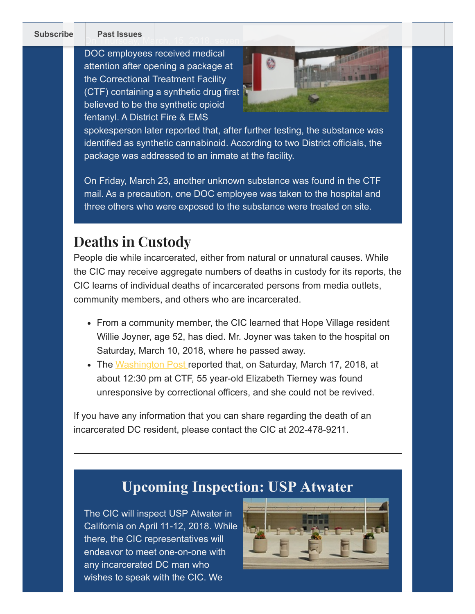#### Dn Thursday, March, 15, 2018, seven [Subscribe](http://eepurl.com/cwuxzT) Past Issues

DOC employees received medical attention after opening a package at the Correctional Treatment Facility (CTF) containing a synthetic drug first believed to be the synthetic opioid fentanyl. A District Fire & EMS



spokesperson later reported that, after further testing, the substance was identified as synthetic cannabinoid. According to two District officials, the package was addressed to an inmate at the facility.

On Friday, March 23, another unknown substance was found in the CTF mail. As a precaution, one DOC employee was taken to the hospital and three others who were exposed to the substance were treated on site.

# Deaths in Custody

People die while incarcerated, either from natural or unnatural causes. While the CIC may receive aggregate numbers of deaths in custody for its reports, the CIC learns of individual deaths of incarcerated persons from media outlets, community members, and others who are incarcerated.

- From a community member, the CIC learned that Hope Village resident Willie Joyner, age 52, has died. Mr. Joyner was taken to the hospital on Saturday, March 10, 2018, where he passed away.
- The [Washington Post r](https://www.washingtonpost.com/local/public-safety/woman-dies-at-dc-corrections-facility/2018/03/17/b5aae6a6-2a58-11e8-874b-d517e912f125_story.html?utm_term=.e1d72a66424d)eported that, on Saturday, March 17, 2018, at about 12:30 pm at CTF, 55 year-old Elizabeth Tierney was found unresponsive by correctional officers, and she could not be revived.

If you have any information that you can share regarding the death of an incarcerated DC resident, please contact the CIC at 202-478-9211.

### Upcoming Inspection: USP Atwater

The CIC will inspect USP Atwater in California on April 11-12, 2018. While there, the CIC representatives will endeavor to meet one-on-one with any incarcerated DC man who wishes to speak with the CIC. We

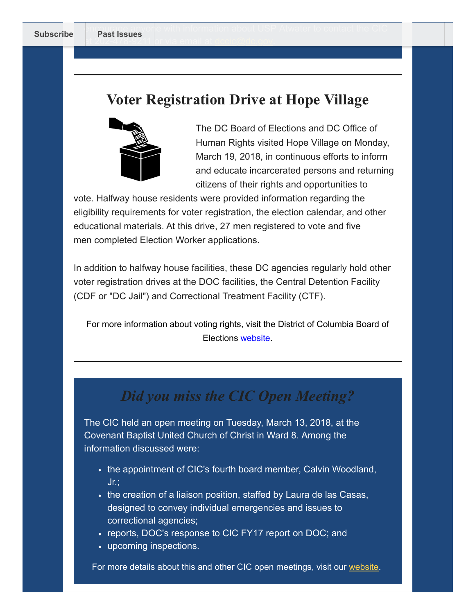#### Voter Registration Drive at Hope Village



The DC Board of Elections and DC Office of Human Rights visited Hope Village on Monday, March 19, 2018, in continuous efforts to inform and educate incarcerated persons and returning citizens of their rights and opportunities to

vote. Halfway house residents were provided information regarding the eligibility requirements for voter registration, the election calendar, and other educational materials. At this drive, 27 men registered to vote and five men completed Election Worker applications.

In addition to halfway house facilities, these DC agencies regularly hold other voter registration drives at the DOC facilities, the Central Detention Facility (CDF or "DC Jail") and Correctional Treatment Facility (CTF).

For more information about voting rights, visit the District of Columbia Board of Elections [website](https://www.dcboe.org/home.asp?skip=Y).

### *Did you miss the CIC Open Meeting?*

The CIC held an open meeting on Tuesday, March 13, 2018, at the Covenant Baptist United Church of Christ in Ward 8. Among the information discussed were:

- the appointment of CIC's fourth board member, Calvin Woodland, Jr.;
- the creation of a liaison position, staffed by Laura de las Casas, designed to convey individual emergencies and issues to correctional agencies;
- reports, DOC's response to CIC FY17 report on DOC; and
- upcoming inspections.

For more details about this and other CIC open meetings, visit our [website](https://cic.dc.gov/node/895142).